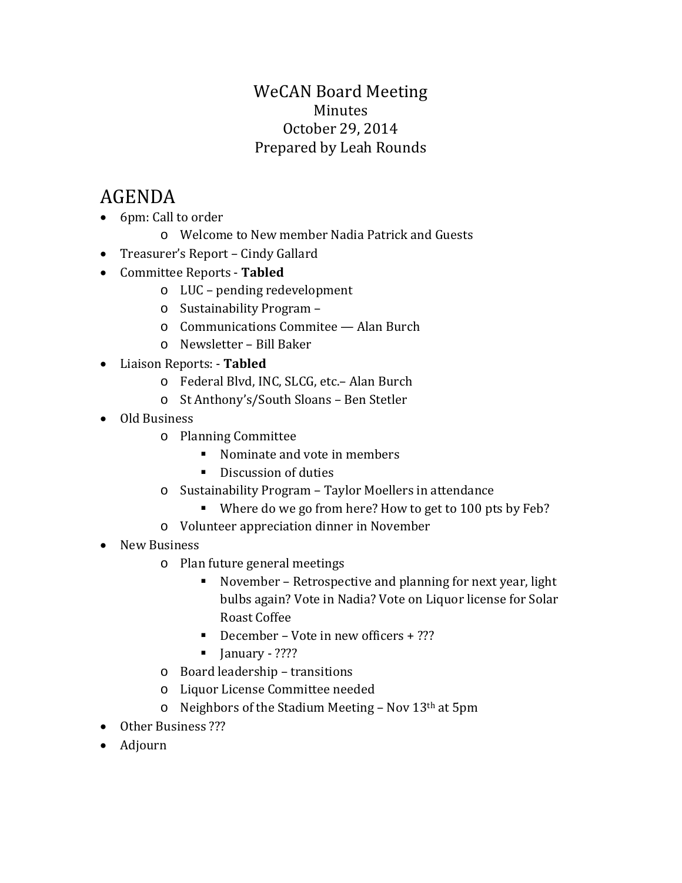### WeCAN Board Meeting Minutes October 29, 2014 Prepared by Leah Rounds

# AGENDA

- 6pm: Call to order
	- o Welcome to New member Nadia Patrick and Guests
- Treasurer's Report Cindy Gallard
- Committee Reports **Tabled**
	- o LUC pending redevelopment
	- o Sustainability Program –
	- o Communications Commitee Alan Burch
	- o Newsletter Bill Baker
- Liaison Reports: **Tabled**
	- o Federal Blvd, INC, SLCG, etc.– Alan Burch
	- o St Anthony's/South Sloans Ben Stetler
- Old Business
	- o Planning Committee
		- Nominate and vote in members
		- Discussion of duties
	- o Sustainability Program Taylor Moellers in attendance
		- Where do we go from here? How to get to 100 pts by Feb?
	- o Volunteer appreciation dinner in November
- New Business
	- o Plan future general meetings
		- November Retrospective and planning for next year, light bulbs again? Vote in Nadia? Vote on Liquor license for Solar Roast Coffee
		- December Vote in new officers  $+$  ???
		- $\blacksquare$  January ????
	- o Board leadership transitions
	- o Liquor License Committee needed
	- $\circ$  Neighbors of the Stadium Meeting Nov 13<sup>th</sup> at 5pm
- Other Business ???
- Adjourn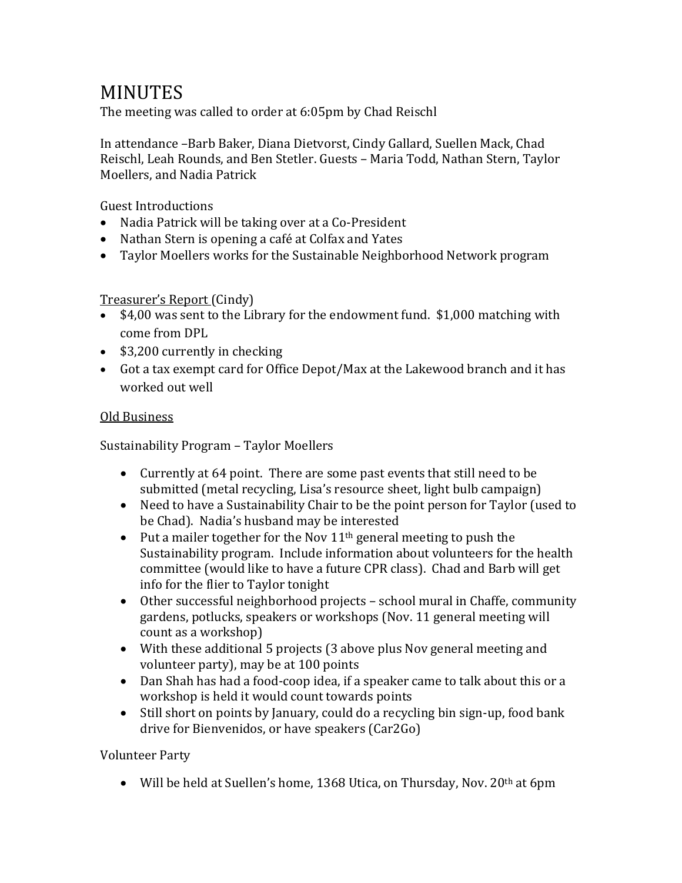## **MINUTES**

The meeting was called to order at 6:05pm by Chad Reischl

In attendance –Barb Baker, Diana Dietvorst, Cindy Gallard, Suellen Mack, Chad Reischl, Leah Rounds, and Ben Stetler. Guests – Maria Todd, Nathan Stern, Taylor Moellers, and Nadia Patrick

Guest Introductions

- Nadia Patrick will be taking over at a Co-President
- Nathan Stern is opening a café at Colfax and Yates
- Taylor Moellers works for the Sustainable Neighborhood Network program

#### Treasurer's Report (Cindy)

- \$4,00 was sent to the Library for the endowment fund. \$1,000 matching with come from DPL
- \$3,200 currently in checking
- Got a tax exempt card for Office Depot/Max at the Lakewood branch and it has worked out well

#### Old Business

Sustainability Program – Taylor Moellers

- Currently at 64 point. There are some past events that still need to be submitted (metal recycling, Lisa's resource sheet, light bulb campaign)
- Need to have a Sustainability Chair to be the point person for Taylor (used to be Chad). Nadia's husband may be interested
- Put a mailer together for the Nov  $11<sup>th</sup>$  general meeting to push the Sustainability program. Include information about volunteers for the health committee (would like to have a future CPR class). Chad and Barb will get info for the flier to Taylor tonight
- Other successful neighborhood projects school mural in Chaffe, community gardens, potlucks, speakers or workshops (Nov. 11 general meeting will count as a workshop)
- With these additional 5 projects (3 above plus Nov general meeting and volunteer party), may be at 100 points
- Dan Shah has had a food-coop idea, if a speaker came to talk about this or a workshop is held it would count towards points
- Still short on points by January, could do a recycling bin sign-up, food bank drive for Bienvenidos, or have speakers (Car2Go)

#### Volunteer Party

• Will be held at Suellen's home, 1368 Utica, on Thursday, Nov.  $20<sup>th</sup>$  at 6pm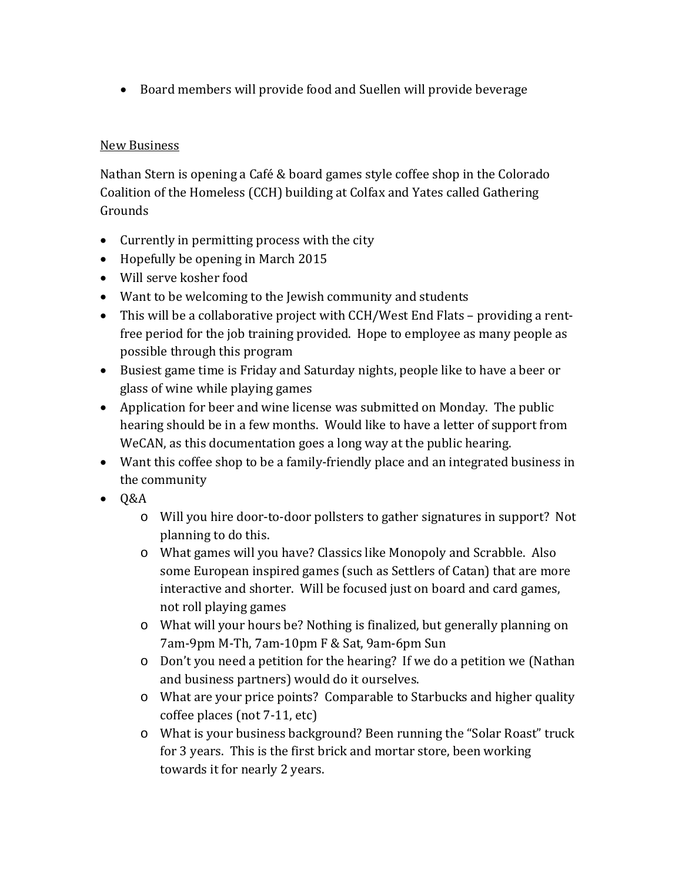• Board members will provide food and Suellen will provide beverage

#### New Business

Nathan Stern is opening a Café & board games style coffee shop in the Colorado Coalition of the Homeless (CCH) building at Colfax and Yates called Gathering Grounds

- Currently in permitting process with the city
- Hopefully be opening in March 2015
- Will serve kosher food
- Want to be welcoming to the Jewish community and students
- This will be a collaborative project with CCH/West End Flats providing a rentfree period for the job training provided. Hope to employee as many people as possible through this program
- Busiest game time is Friday and Saturday nights, people like to have a beer or glass of wine while playing games
- Application for beer and wine license was submitted on Monday. The public hearing should be in a few months. Would like to have a letter of support from WeCAN, as this documentation goes a long way at the public hearing.
- Want this coffee shop to be a family-friendly place and an integrated business in the community
- Q&A
	- o Will you hire door-to-door pollsters to gather signatures in support? Not planning to do this.
	- o What games will you have? Classics like Monopoly and Scrabble. Also some European inspired games (such as Settlers of Catan) that are more interactive and shorter. Will be focused just on board and card games, not roll playing games
	- o What will your hours be? Nothing is finalized, but generally planning on 7am-9pm M-Th, 7am-10pm F & Sat, 9am-6pm Sun
	- o Don't you need a petition for the hearing? If we do a petition we (Nathan and business partners) would do it ourselves.
	- o What are your price points? Comparable to Starbucks and higher quality coffee places (not 7-11, etc)
	- o What is your business background? Been running the "Solar Roast" truck for 3 years. This is the first brick and mortar store, been working towards it for nearly 2 years.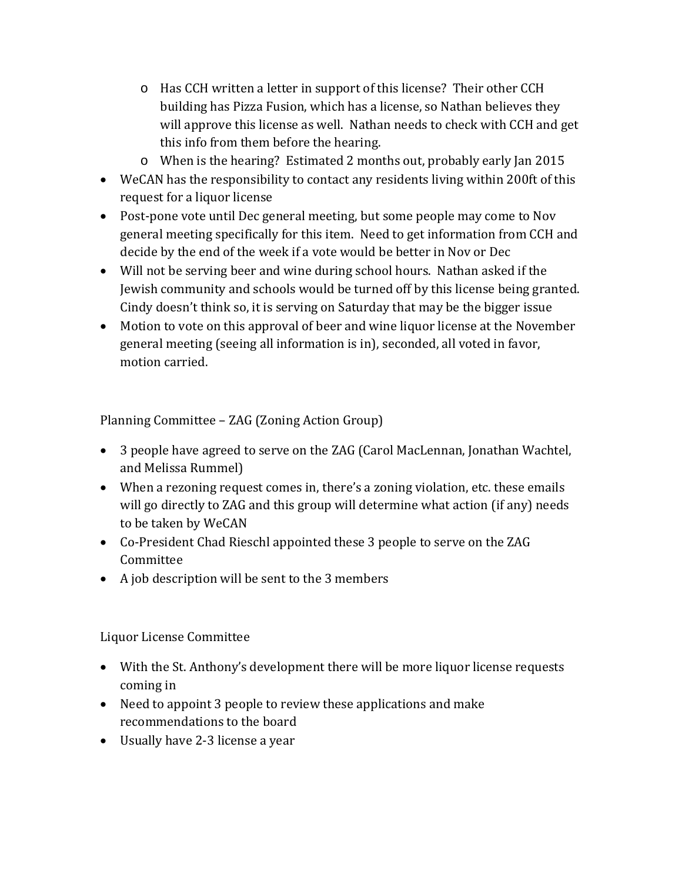- o Has CCH written a letter in support of this license? Their other CCH building has Pizza Fusion, which has a license, so Nathan believes they will approve this license as well. Nathan needs to check with CCH and get this info from them before the hearing.
- o When is the hearing? Estimated 2 months out, probably early Jan 2015
- WeCAN has the responsibility to contact any residents living within 200ft of this request for a liquor license
- Post-pone vote until Dec general meeting, but some people may come to Nov general meeting specifically for this item. Need to get information from CCH and decide by the end of the week if a vote would be better in Nov or Dec
- Will not be serving beer and wine during school hours. Nathan asked if the Jewish community and schools would be turned off by this license being granted. Cindy doesn't think so, it is serving on Saturday that may be the bigger issue
- Motion to vote on this approval of beer and wine liquor license at the November general meeting (seeing all information is in), seconded, all voted in favor, motion carried.

Planning Committee – ZAG (Zoning Action Group)

- 3 people have agreed to serve on the ZAG (Carol MacLennan, Jonathan Wachtel, and Melissa Rummel)
- When a rezoning request comes in, there's a zoning violation, etc. these emails will go directly to ZAG and this group will determine what action (if any) needs to be taken by WeCAN
- Co-President Chad Rieschl appointed these 3 people to serve on the ZAG Committee
- A job description will be sent to the 3 members

Liquor License Committee

- With the St. Anthony's development there will be more liquor license requests coming in
- Need to appoint 3 people to review these applications and make recommendations to the board
- Usually have 2-3 license a year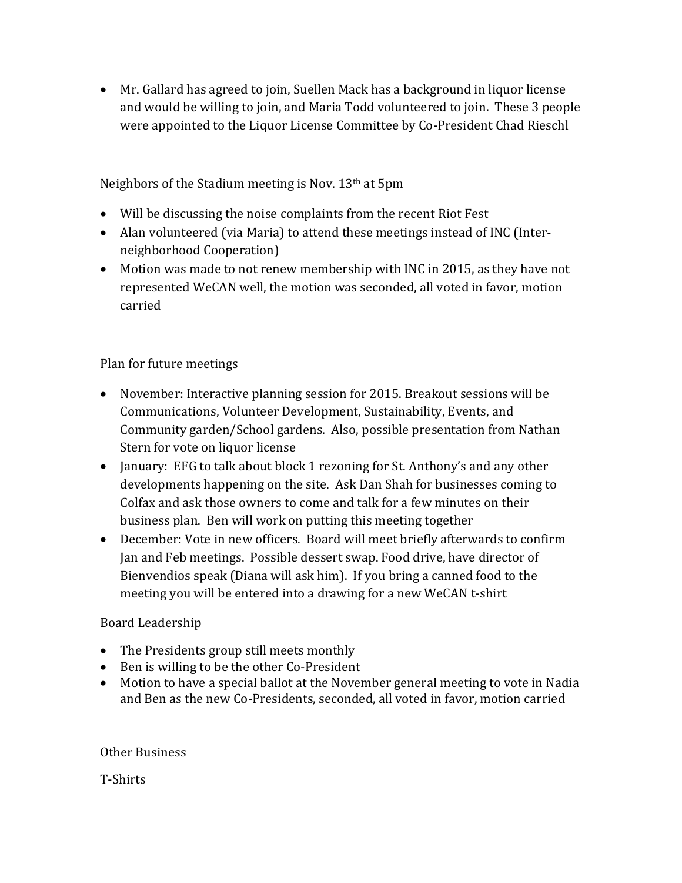• Mr. Gallard has agreed to join, Suellen Mack has a background in liquor license and would be willing to join, and Maria Todd volunteered to join. These 3 people were appointed to the Liquor License Committee by Co-President Chad Rieschl

Neighbors of the Stadium meeting is Nov. 13th at 5pm

- Will be discussing the noise complaints from the recent Riot Fest
- Alan volunteered (via Maria) to attend these meetings instead of INC (Interneighborhood Cooperation)
- Motion was made to not renew membership with INC in 2015, as they have not represented WeCAN well, the motion was seconded, all voted in favor, motion carried

Plan for future meetings

- November: Interactive planning session for 2015. Breakout sessions will be Communications, Volunteer Development, Sustainability, Events, and Community garden/School gardens. Also, possible presentation from Nathan Stern for vote on liquor license
- January: EFG to talk about block 1 rezoning for St. Anthony's and any other developments happening on the site. Ask Dan Shah for businesses coming to Colfax and ask those owners to come and talk for a few minutes on their business plan. Ben will work on putting this meeting together
- December: Vote in new officers. Board will meet briefly afterwards to confirm Jan and Feb meetings. Possible dessert swap. Food drive, have director of Bienvendios speak (Diana will ask him). If you bring a canned food to the meeting you will be entered into a drawing for a new WeCAN t-shirt

Board Leadership

- The Presidents group still meets monthly
- Ben is willing to be the other Co-President
- Motion to have a special ballot at the November general meeting to vote in Nadia and Ben as the new Co-Presidents, seconded, all voted in favor, motion carried

#### Other Business

T-Shirts